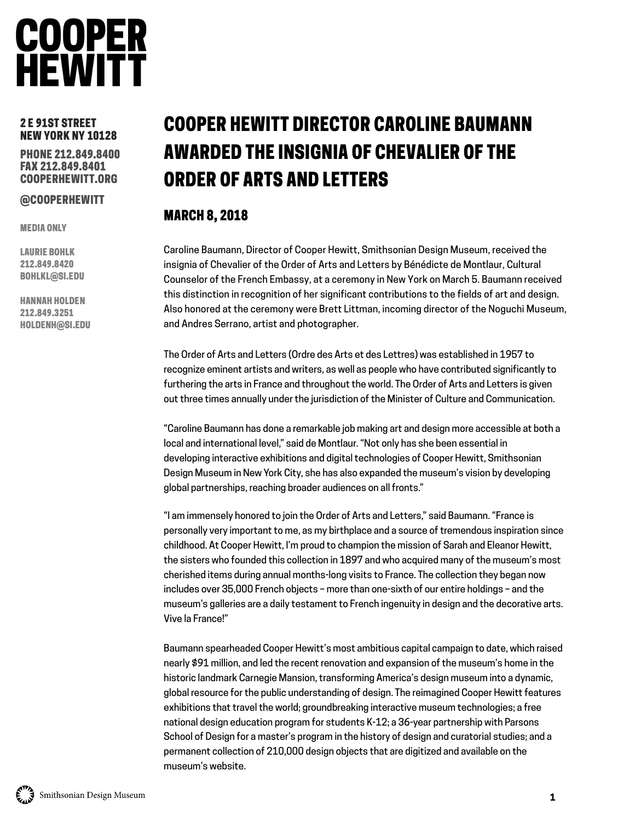## **COOPER**<br>HEWITT

## 2 E 91ST STREET NEW YORK NY 10128

PHONE 212.849.8400 FAX 212.849.8401 COOPERHEWITT.ORG

## @COOPERHEWITT

MEDIA ONLY

LAURIE BOHLK 212.849.8420 BOHLKL@SI.EDU

HANNAH HOLDEN 212.849.3251 HOLDENH@SI.EDU

## COOPER HEWITT DIRECTOR CAROLINE BAUMANN AWARDED THE INSIGNIA OF CHEVALIER OF THE ORDER OF ARTS AND LETTERS

## MARCH 8, 2018

Caroline Baumann, Director of Cooper Hewitt, Smithsonian Design Museum, received the insignia of Chevalier of the Order of Arts and Letters by Bénédicte de Montlaur, Cultural Counselor of the French Embassy, at a ceremony in New York on March 5. Baumann received this distinction in recognition of her significant contributions to the fields of art and design. Also honored at the ceremony were Brett Littman, incoming director of the Noguchi Museum, and Andres Serrano, artist and photographer.

The Order of Arts and Letters (Ordre des Arts et des Lettres) was established in 1957 to recognize eminent artists and writers, as well as people who have contributed significantly to furthering the arts in France and throughout the world. The Order of Arts and Letters is given out three times annually under the jurisdiction of the Minister of Culture and Communication.

"Caroline Baumann has done a remarkable job making art and design more accessible at both a local and international level," said de Montlaur. "Not only has she been essential in developing interactive exhibitions and digital technologies of Cooper Hewitt, Smithsonian Design Museum in New York City, she has also expanded the museum's vision by developing global partnerships, reaching broader audiences on all fronts."

"I am immensely honored to join the Order of Arts and Letters," said Baumann. "France is personally very important to me, as my birthplace and a source of tremendous inspiration since childhood. At Cooper Hewitt, I'm proud to champion the mission of Sarah and Eleanor Hewitt, the sisters who founded this collection in 1897 and who acquired many of the museum's most cherished items during annual months-long visits to France. The collection they began now includes over 35,000 French objects – more than one-sixth of our entire holdings – and the museum's galleries are a daily testament to French ingenuity in design and the decorative arts. Vive la France!"

Baumann spearheaded Cooper Hewitt's most ambitious capital campaign to date, which raised nearly \$91 million, and led the recent renovation and expansion of the museum's home in the historic landmark Carnegie Mansion, transforming America's design museum into a dynamic, global resource for the public understanding of design. The reimagined Cooper Hewitt features exhibitions that travel the world; groundbreaking interactive museum technologies; a free national design education program for students K-12; a 36-year partnership with Parsons School of Design for a master's program in the history of design and curatorial studies; and a permanent collection of 210,000 design objects that are digitized and available on the museum's website.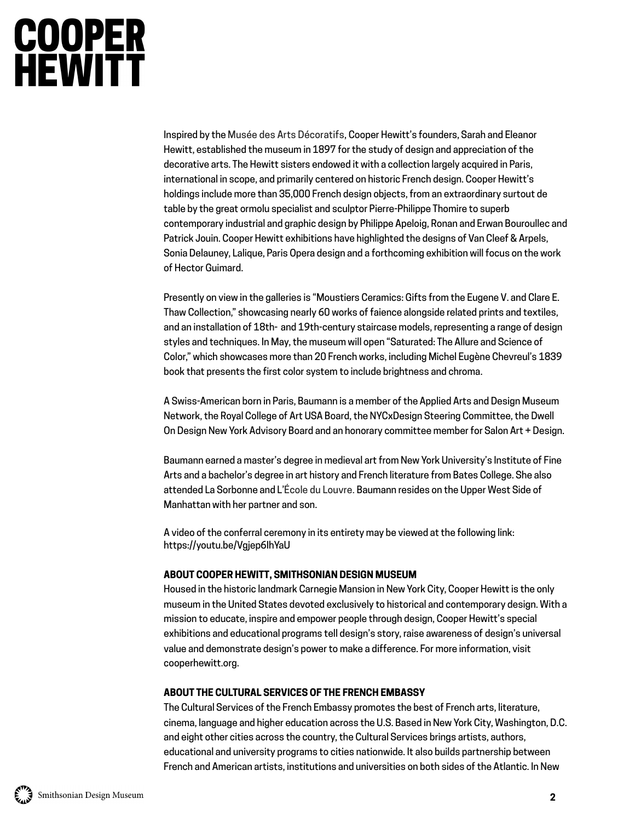# **COOPER**<br>HEWITT

Inspired by the Musée des Arts Décoratifs, Cooper Hewitt's founders, Sarah and Eleanor Hewitt, established the museum in 1897 for the study of design and appreciation of the decorative arts. The Hewitt sisters endowed it with a collection largely acquired in Paris, international in scope, and primarily centered on historic French design. Cooper Hewitt's holdings include more than 35,000 French design objects, from an extraordinary surtout de table by the great ormolu specialist and sculptor Pierre-Philippe Thomire to superb contemporary industrial and graphic design by Philippe Apeloig, Ronan and Erwan Bouroullec and Patrick Jouin. Cooper Hewitt exhibitions have highlighted the designs of Van Cleef & Arpels, Sonia Delauney, Lalique, Paris Opera design and a forthcoming exhibition will focus on the work of Hector Guimard.

Presently on view in the galleries is "Moustiers Ceramics: Gifts from the Eugene V. and Clare E. Thaw Collection," showcasing nearly 60 works of faience alongside related prints and textiles, and an installation of 18th- and 19th-century staircase models, representing a range of design styles and techniques. In May, the museum will open "Saturated: The Allure and Science of Color," which showcases more than 20 French works, including Michel Eugène Chevreul's 1839 book that presents the first color system to include brightness and chroma.

A Swiss-American born in Paris, Baumann is a member of the Applied Arts and Design Museum Network, the Royal College of Art USA Board, the NYCxDesign Steering Committee, the Dwell On Design New York Advisory Board and an honorary committee member for Salon Art + Design.

Baumann earned a master's degree in medieval art from New York University's Institute of Fine Arts and a bachelor's degree in art history and French literature from Bates College. She also attended La Sorbonne and L'École du Louvre. Baumann resides on the Upper West Side of Manhattan with her partner and son.

A video of the conferral ceremony in its entirety may be viewed at the following link: https://youtu.be/Vgjep6IhYaU

## **ABOUT COOPER HEWITT, SMITHSONIAN DESIGN MUSEUM**

Housed in the historic landmark Carnegie Mansion in New York City, Cooper Hewitt is the only museum in the United States devoted exclusively to historical and contemporary design. With a mission to educate, inspire and empower people through design, Cooper Hewitt's special exhibitions and educational programs tell design's story, raise awareness of design's universal value and demonstrate design's power to make a difference. For more information, visit cooperhewitt.org.

## **ABOUT THE CULTURAL SERVICES OF THE FRENCH EMBASSY**

The Cultural Services of the French Embassy promotes the best of French arts, literature, cinema, language and higher education across the U.S. Based in New York City, Washington, D.C. and eight other cities across the country, the Cultural Services brings artists, authors, educational and university programs to cities nationwide. It also builds partnership between French and American artists, institutions and universities on both sides of the Atlantic. In New